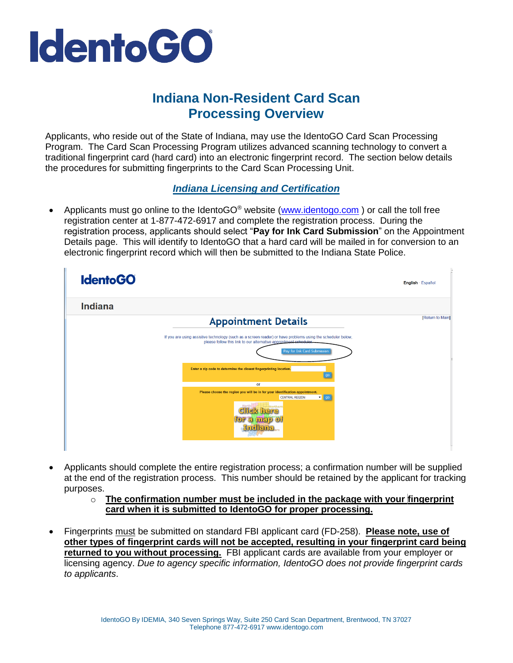

## **Indiana Non-Resident Card Scan Processing Overview**

Applicants, who reside out of the State of Indiana, may use the IdentoGO Card Scan Processing Program. The Card Scan Processing Program utilizes advanced scanning technology to convert a traditional fingerprint card (hard card) into an electronic fingerprint record. The section below details the procedures for submitting fingerprints to the Card Scan Processing Unit.

## *Indiana Licensing and Certification*

Applicants must go online to the IdentoGO<sup>®</sup> website [\(www.identogo.com](http://www.identogo.com/)) or call the toll free registration center at 1-877-472-6917 and complete the registration process. During the registration process, applicants should select "**Pay for Ink Card Submission**" on the Appointment Details page. This will identify to IdentoGO that a hard card will be mailed in for conversion to an electronic fingerprint record which will then be submitted to the Indiana State Police.

| <b>IdentoGO</b>                                                                                                                                                                                                 | English · Español |
|-----------------------------------------------------------------------------------------------------------------------------------------------------------------------------------------------------------------|-------------------|
| <b>Indiana</b>                                                                                                                                                                                                  |                   |
| <b>Appointment Details</b>                                                                                                                                                                                      | [Return to Main]  |
| If you are using assistive technology (such as a screen reader) or have problems using the scheduler below,<br>please follow this link to our alternative appointment scheduler.<br>Pay for Ink Card Submission |                   |
| Enter a zip code to determine the closest fingerprinting location.<br>go                                                                                                                                        |                   |
| or                                                                                                                                                                                                              |                   |
| Please choose the region you will be in for your identification appointment.<br>$\blacksquare$ go<br><b>CENTRAL REGION</b><br>ckhere<br>r a mar                                                                 |                   |

- Applicants should complete the entire registration process; a confirmation number will be supplied at the end of the registration process. This number should be retained by the applicant for tracking purposes.
	- o **The confirmation number must be included in the package with your fingerprint card when it is submitted to IdentoGO for proper processing.**
- Fingerprints must be submitted on standard FBI applicant card (FD-258). **Please note, use of other types of fingerprint cards will not be accepted, resulting in your fingerprint card being returned to you without processing.** FBI applicant cards are available from your employer or licensing agency. *Due to agency specific information, IdentoGO does not provide fingerprint cards to applicants*.